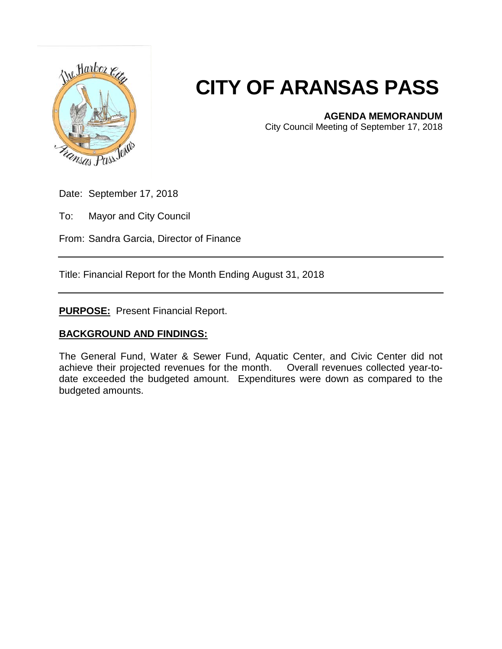

## **CITY OF ARANSAS PASS**

## **AGENDA MEMORANDUM**

City Council Meeting of September 17, 2018

Date: September 17, 2018

To: Mayor and City Council

From: Sandra Garcia, Director of Finance

Title: Financial Report for the Month Ending August 31, 2018

**PURPOSE:** Present Financial Report.

## **BACKGROUND AND FINDINGS:**

The General Fund, Water & Sewer Fund, Aquatic Center, and Civic Center did not achieve their projected revenues for the month. Overall revenues collected year-todate exceeded the budgeted amount. Expenditures were down as compared to the budgeted amounts.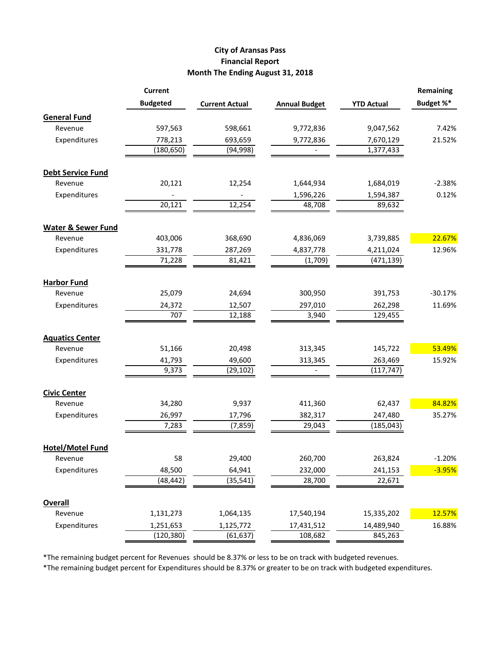## **City of Aransas Pass Financial Report Month The Ending August 31, 2018**

|                               | <b>Current</b>  |                       |                      |                   | Remaining |
|-------------------------------|-----------------|-----------------------|----------------------|-------------------|-----------|
|                               | <b>Budgeted</b> | <b>Current Actual</b> | <b>Annual Budget</b> | <b>YTD Actual</b> | Budget %* |
| <b>General Fund</b>           |                 |                       |                      |                   |           |
| Revenue                       | 597,563         | 598,661               | 9,772,836            | 9,047,562         | 7.42%     |
| Expenditures                  | 778,213         | 693,659               | 9,772,836            | 7,670,129         | 21.52%    |
|                               | (180, 650)      | (94, 998)             |                      | 1,377,433         |           |
| <b>Debt Service Fund</b>      |                 |                       |                      |                   |           |
| Revenue                       | 20,121          | 12,254                | 1,644,934            | 1,684,019         | $-2.38%$  |
| Expenditures                  |                 |                       | 1,596,226            | 1,594,387         | 0.12%     |
|                               | 20,121          | 12,254                | 48,708               | 89,632            |           |
| <b>Water &amp; Sewer Fund</b> |                 |                       |                      |                   |           |
| Revenue                       | 403,006         | 368,690               | 4,836,069            | 3,739,885         | 22.67%    |
| Expenditures                  | 331,778         | 287,269               | 4,837,778            | 4,211,024         | 12.96%    |
|                               | 71,228          | 81,421                | (1,709)              | (471, 139)        |           |
| <b>Harbor Fund</b>            |                 |                       |                      |                   |           |
| Revenue                       | 25,079          | 24,694                | 300,950              | 391,753           | $-30.17%$ |
| Expenditures                  | 24,372          | 12,507                | 297,010              | 262,298           | 11.69%    |
|                               | 707             | 12,188                | 3,940                | 129,455           |           |
| <b>Aquatics Center</b>        |                 |                       |                      |                   |           |
| Revenue                       | 51,166          | 20,498                | 313,345              | 145,722           | 53.49%    |
| Expenditures                  | 41,793          | 49,600                | 313,345              | 263,469           | 15.92%    |
|                               | 9,373           | (29, 102)             |                      | (117, 747)        |           |
| <b>Civic Center</b>           |                 |                       |                      |                   |           |
| Revenue                       | 34,280          | 9,937                 | 411,360              | 62,437            | 84.82%    |
| Expenditures                  | 26,997          | 17,796                | 382,317              | 247,480           | 35.27%    |
|                               | 7,283           | (7, 859)              | 29,043               | (185, 043)        |           |
| <b>Hotel/Motel Fund</b>       |                 |                       |                      |                   |           |
| Revenue                       | 58              | 29,400                | 260,700              | 263,824           | $-1.20%$  |
| Expenditures                  | 48,500          | 64,941                | 232,000              | 241,153           | $-3.95%$  |
|                               | (48, 442)       | (35, 541)             | 28,700               | 22,671            |           |
| <b>Overall</b>                |                 |                       |                      |                   |           |
| Revenue                       | 1,131,273       | 1,064,135             | 17,540,194           | 15,335,202        | 12.57%    |
| Expenditures                  | 1,251,653       | 1,125,772             | 17,431,512           | 14,489,940        | 16.88%    |
|                               | (120, 380)      | (61, 637)             | 108,682              | 845,263           |           |

\*The remaining budget percent for Revenues should be 8.37% or less to be on track with budgeted revenues.

\*The remaining budget percent for Expenditures should be 8.37% or greater to be on track with budgeted expenditures.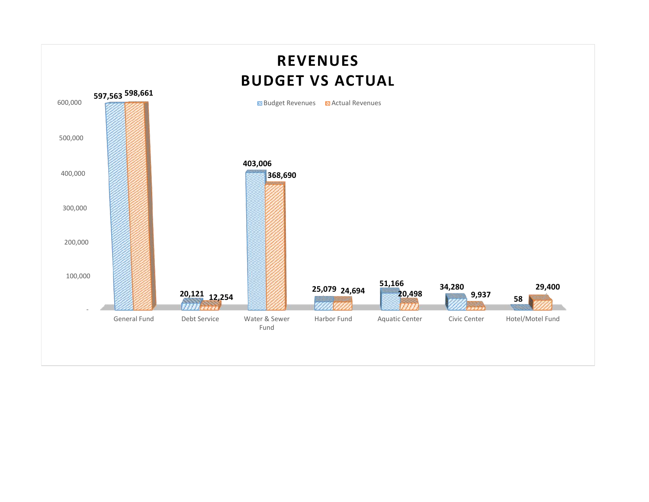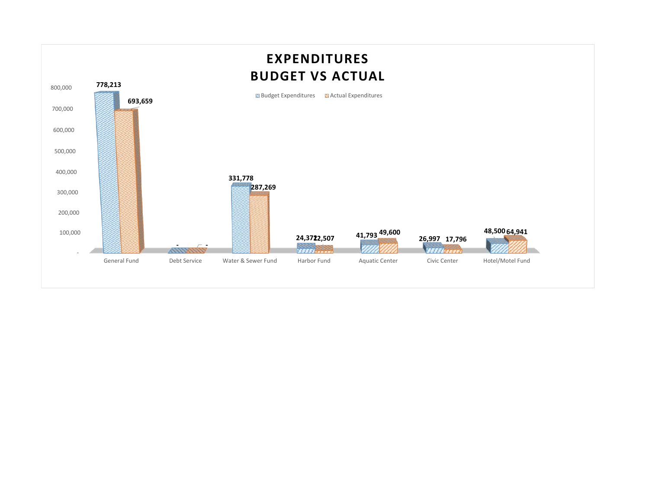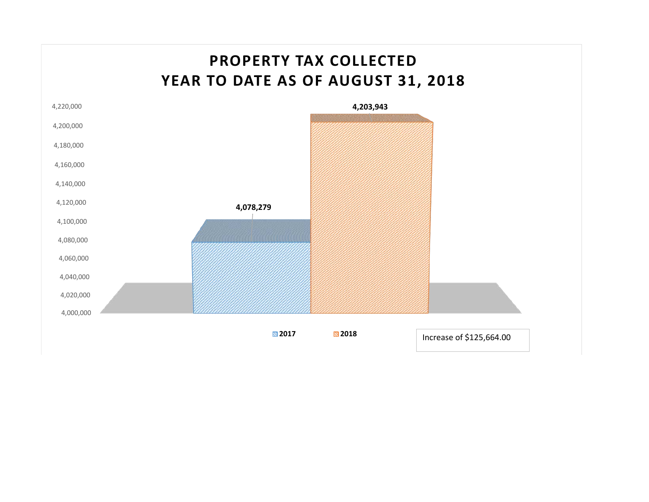